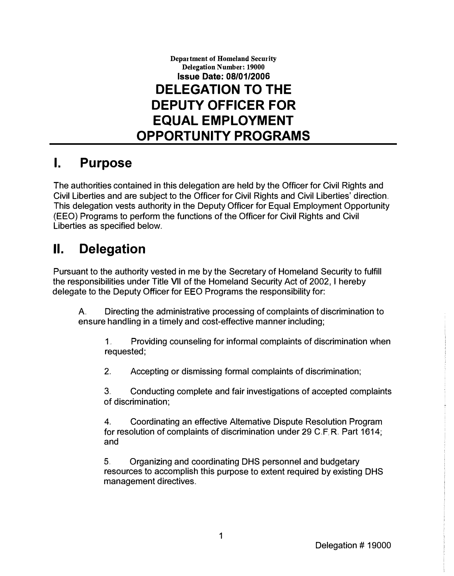Department of Homeland Security Delegation Number: 19000 Issue Date: 08/01/2006 DELEGATION TO THE DEPUTY OFFICER FOR EQUAL EMPLOYMENT OPPORTUNITY PROGRAMS

#### I. Purpose

The authorities contained in this delegation are held by the Officer for Civil Rights and Civil Liberties and are subject to the Officer for Civil Rights and Civil Liberties' direction .. This delegation vests authority in the Deputy Officer for Equal Employment Opportunity (EEO) Programs to perform the functions of the Officer for Civil Rights and Civil Liberties as specified below.

## II. Delegation

Pursuant to the authority vested in me by the Secretary of Homeland Security to fulfill the responsibilities under Title VII of the Homeland Security Act of 2002, I hereby delegate to the Deputy Officer for EEO Programs the responsibility for:

A Directing the administrative processing of complaints of discrimination to ensure handling in a timely and cost-effective manner including;

1.. Providing counseling for informal complaints of discrimination when requested;

2.. Accepting or dismissing formal complaints of discrimination;

3.. Conducting complete and fair investigations of accepted complaints of discrimination;

4.. Coordinating an effective Altemative Dispute Resolution Program for resolution of complaints of discrimination under 29 C.F.R. Part 1614; and

5.. Organizing and coordinating DHS personnel and budgetary resources to accomplish this purpose to extent required by existing DHS management directives ..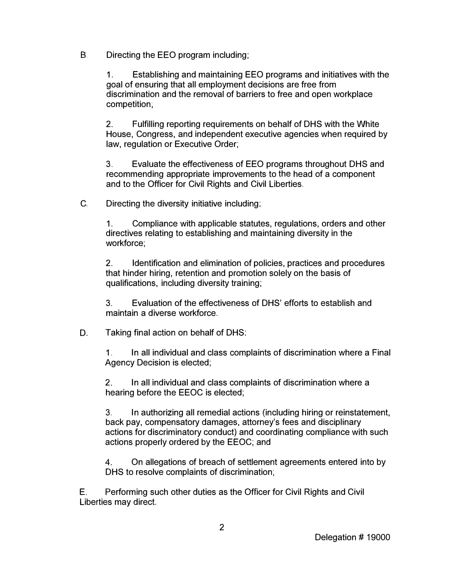B. Directing the EEO program including;

1. Establishing and maintaining EEO programs and initiatives with the goal of ensuring that all employment decisions are free from discrimination and the removal of barriers to free and open workplace competition:

2. Fulfilling reporting requirements on behalf of DHS with the White House, Congress, and independent executive agencies when required by law, regulation or Executive Order;

3. Evaluate the effectiveness of EEO programs throughout DHS and recommending appropriate improvements to the head of a component and to the Officer for Civil Rights and Civil Liberties.

C. Directing the diversity initiative including:

1. Compliance with applicable statutes, regulations, orders and other directives relating to establishing and maintaining diversity in the workforce;

2. Identification and elimination of policies, practices and procedures that hinder hiring, retention and promotion solely on the basis of qualifications, including diversity training;

3. Evaluation of the effectiveness of DHS' efforts to establish and maintain a diverse workforce.

#### D. Taking final action on behalf of DHS:

1. In all individual and class complaints of discrimination where a Final Agency Decision is elected;

2. In all individual and class complaints of discrimination where a hearing before the EEOC is elected;

3. In authorizing all remedial actions (including hiring or reinstatement, back pay, compensatory damages, attorney's fees and disciplinary actions for discriminatory conduct) and coordinating compliance with such actions properly ordered by the EEOC; and

4. On allegations of breach of settlement agreements entered into by DHS to resolve complaints of discrimination;

E. Performing such other duties as the Officer for Civil Rights and Civil Liberties may direct